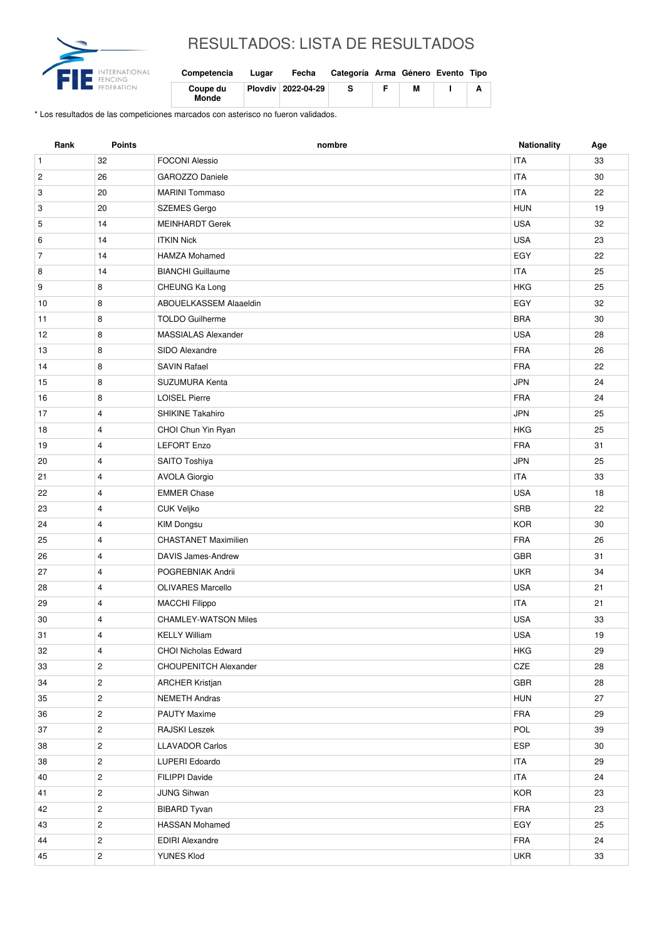

## RESULTADOS: LISTA DE RESULTADOS

| Competencia       | Lugar | Fecha              | Categoría Arma Género Evento Tipo |   |  |
|-------------------|-------|--------------------|-----------------------------------|---|--|
| Coupe du<br>Monde |       | Plovdiv 2022-04-29 | s                                 | м |  |

\* Los resultados de las competiciones marcados con asterisco no fueron validados.

| Rank           | Points         | nombre                       | <b>Nationality</b> | Age |
|----------------|----------------|------------------------------|--------------------|-----|
| $\mathbf{1}$   | 32             | <b>FOCONI Alessio</b>        | <b>ITA</b>         | 33  |
| $\overline{c}$ | 26             | GAROZZO Daniele              | <b>ITA</b>         | 30  |
| 3              | 20             | <b>MARINI Tommaso</b>        | <b>ITA</b>         | 22  |
| 3              | 20             | <b>SZEMES Gergo</b>          | <b>HUN</b>         | 19  |
| 5              | 14             | <b>MEINHARDT Gerek</b>       | <b>USA</b>         | 32  |
| 6              | 14             | <b>ITKIN Nick</b>            | <b>USA</b>         | 23  |
| $\overline{7}$ | 14             | <b>HAMZA Mohamed</b>         | EGY                | 22  |
| 8              | 14             | <b>BIANCHI</b> Guillaume     | <b>ITA</b>         | 25  |
| 9              | 8              | CHEUNG Ka Long               | <b>HKG</b>         | 25  |
| 10             | 8              | ABOUELKASSEM Alaaeldin       | EGY                | 32  |
| 11             | 8              | <b>TOLDO Guilherme</b>       | <b>BRA</b>         | 30  |
| 12             | 8              | <b>MASSIALAS Alexander</b>   | <b>USA</b>         | 28  |
| 13             | 8              | SIDO Alexandre               | <b>FRA</b>         | 26  |
| 14             | 8              | <b>SAVIN Rafael</b>          | <b>FRA</b>         | 22  |
| 15             | 8              | SUZUMURA Kenta               | <b>JPN</b>         | 24  |
| 16             | 8              | <b>LOISEL Pierre</b>         | <b>FRA</b>         | 24  |
| 17             | $\overline{4}$ | SHIKINE Takahiro             | <b>JPN</b>         | 25  |
| 18             | 4              | CHOI Chun Yin Ryan           | <b>HKG</b>         | 25  |
| 19             | 4              | <b>LEFORT Enzo</b>           | <b>FRA</b>         | 31  |
| 20             | $\overline{4}$ | SAITO Toshiya                | <b>JPN</b>         | 25  |
| 21             | $\overline{4}$ | <b>AVOLA Giorgio</b>         | <b>ITA</b>         | 33  |
| 22             | 4              | <b>EMMER Chase</b>           | <b>USA</b>         | 18  |
| 23             | $\overline{4}$ | <b>CUK Veljko</b>            | <b>SRB</b>         | 22  |
| 24             | $\overline{4}$ | <b>KIM Dongsu</b>            | <b>KOR</b>         | 30  |
| 25             | $\overline{4}$ | <b>CHASTANET Maximilien</b>  | <b>FRA</b>         | 26  |
| 26             | $\overline{4}$ | <b>DAVIS James-Andrew</b>    | <b>GBR</b>         | 31  |
| 27             | 4              | POGREBNIAK Andrii            | <b>UKR</b>         | 34  |
| 28             | $\overline{4}$ | <b>OLIVARES Marcello</b>     | <b>USA</b>         | 21  |
| 29             | 4              | <b>MACCHI Filippo</b>        | <b>ITA</b>         | 21  |
| 30             | 4              | <b>CHAMLEY-WATSON Miles</b>  | <b>USA</b>         | 33  |
| 31             | 4              | <b>KELLY William</b>         | <b>USA</b>         | 19  |
| 32             | 4              | <b>CHOI Nicholas Edward</b>  | HKG                | 29  |
| 33             | $\overline{2}$ | <b>CHOUPENITCH Alexander</b> | CZE                | 28  |
| 34             | $\overline{2}$ | <b>ARCHER Kristjan</b>       | <b>GBR</b>         | 28  |
| 35             | $\overline{2}$ | <b>NEMETH Andras</b>         | HUN                | 27  |
| 36             | $\overline{2}$ | <b>PAUTY Maxime</b>          | FRA                | 29  |
| 37             | $\overline{2}$ | RAJSKI Leszek                | POL                | 39  |
| 38             | $\overline{2}$ | <b>LLAVADOR Carlos</b>       | <b>ESP</b>         | 30  |
| 38             | $\overline{c}$ | LUPERI Edoardo               | <b>ITA</b>         | 29  |
| 40             | $\overline{2}$ | FILIPPI Davide               | ITA                | 24  |
| 41             | $\overline{2}$ | <b>JUNG Sihwan</b>           | <b>KOR</b>         | 23  |
| 42             | $\overline{c}$ | <b>BIBARD Tyvan</b>          | FRA                | 23  |
| 43             | $\overline{2}$ | <b>HASSAN Mohamed</b>        | EGY                | 25  |
| 44             | $\overline{c}$ | <b>EDIRI Alexandre</b>       | FRA                | 24  |
| 45             | $\overline{c}$ | YUNES Klod                   | <b>UKR</b>         | 33  |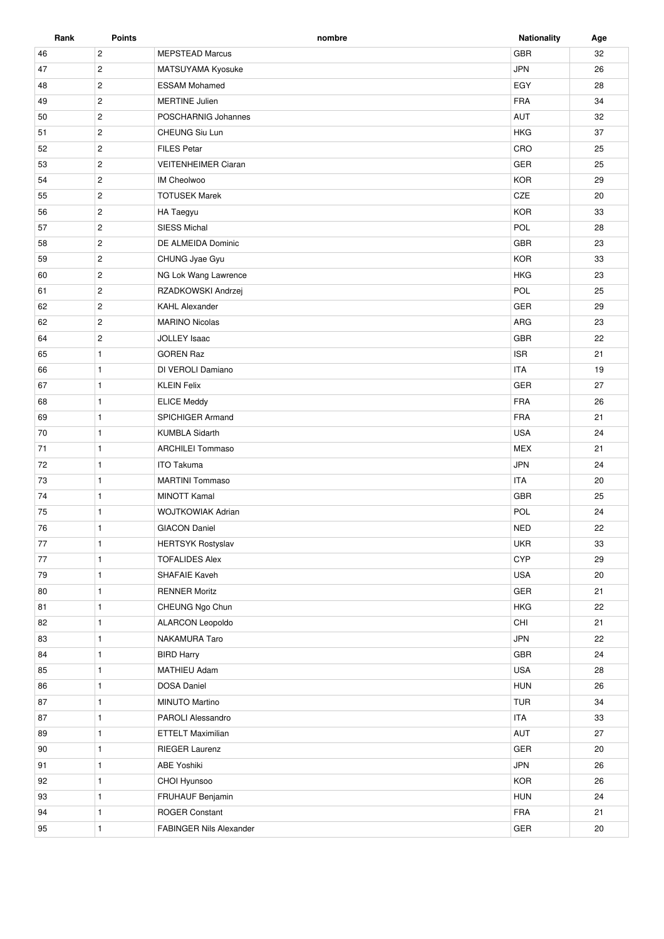| Rank | <b>Points</b>  | nombre                         | <b>Nationality</b> | Age |
|------|----------------|--------------------------------|--------------------|-----|
| 46   | $\mathbf{2}$   | <b>MEPSTEAD Marcus</b>         | <b>GBR</b>         | 32  |
| 47   | $\overline{2}$ | MATSUYAMA Kyosuke              | <b>JPN</b>         | 26  |
| 48   | $\overline{2}$ | <b>ESSAM Mohamed</b>           | EGY                | 28  |
| 49   | $\mathbf{2}$   | <b>MERTINE Julien</b>          | <b>FRA</b>         | 34  |
| 50   | $\overline{2}$ | POSCHARNIG Johannes            | AUT                | 32  |
| 51   | $\mathbf{2}$   | CHEUNG Siu Lun                 | <b>HKG</b>         | 37  |
| 52   | $\overline{2}$ | <b>FILES Petar</b>             | CRO                | 25  |
| 53   | $\mathbf{2}$   | <b>VEITENHEIMER Ciaran</b>     | GER                | 25  |
| 54   | $\overline{2}$ | <b>IM Cheolwoo</b>             | <b>KOR</b>         | 29  |
| 55   | $\overline{2}$ | <b>TOTUSEK Marek</b>           | CZE                | 20  |
| 56   | $\mathbf{2}$   | HA Taegyu                      | <b>KOR</b>         | 33  |
| 57   | $\mathbf{2}$   | <b>SIESS Michal</b>            | POL                | 28  |
| 58   | $\overline{2}$ | DE ALMEIDA Dominic             | GBR                | 23  |
| 59   | $\overline{2}$ | CHUNG Jyae Gyu                 | <b>KOR</b>         | 33  |
| 60   | $\mathbf{2}$   | NG Lok Wang Lawrence           | <b>HKG</b>         | 23  |
| 61   | $\overline{c}$ | RZADKOWSKI Andrzej             | POL                | 25  |
| 62   | $\mathbf{2}$   | <b>KAHL Alexander</b>          | GER                | 29  |
| 62   | $\mathbf{2}$   | <b>MARINO Nicolas</b>          | ARG                | 23  |
| 64   | $\mathbf{2}$   | <b>JOLLEY Isaac</b>            | GBR                | 22  |
| 65   | $\mathbf{1}$   | <b>GOREN Raz</b>               | <b>ISR</b>         | 21  |
|      |                |                                | <b>ITA</b>         |     |
| 66   | $\mathbf{1}$   | DI VEROLI Damiano              |                    | 19  |
| 67   | $\mathbf{1}$   | <b>KLEIN Felix</b>             | GER                | 27  |
| 68   | $\mathbf{1}$   | <b>ELICE Meddy</b>             | <b>FRA</b>         | 26  |
| 69   | $\mathbf{1}$   | SPICHIGER Armand               | <b>FRA</b>         | 21  |
| 70   | $\mathbf{1}$   | <b>KUMBLA Sidarth</b>          | <b>USA</b>         | 24  |
| 71   | $\mathbf{1}$   | <b>ARCHILEI Tommaso</b>        | <b>MEX</b>         | 21  |
| 72   | $\mathbf{1}$   | <b>ITO Takuma</b>              | <b>JPN</b>         | 24  |
| 73   | $\mathbf{1}$   | <b>MARTINI Tommaso</b>         | <b>ITA</b>         | 20  |
| 74   | $\mathbf{1}$   | <b>MINOTT Kamal</b>            | <b>GBR</b>         | 25  |
| 75   | $\mathbf{1}$   | <b>WOJTKOWIAK Adrian</b>       | POL                | 24  |
| 76   | $\mathbf{1}$   | <b>GIACON Daniel</b>           | <b>NED</b>         | 22  |
| 77   | $\mathbf{1}$   | <b>HERTSYK Rostyslav</b>       | <b>UKR</b>         | 33  |
| 77   | $\mathbf{1}$   | <b>TOFALIDES Alex</b>          | <b>CYP</b>         | 29  |
| 79   | $\mathbf{1}$   | SHAFAIE Kaveh                  | <b>USA</b>         | 20  |
| 80   | $\mathbf{1}$   | <b>RENNER Moritz</b>           | GER                | 21  |
| 81   | $\mathbf{1}$   | CHEUNG Ngo Chun                | <b>HKG</b>         | 22  |
| 82   | $\mathbf{1}$   | ALARCON Leopoldo               | CHI                | 21  |
| 83   | $\mathbf{1}$   | NAKAMURA Taro                  | <b>JPN</b>         | 22  |
| 84   | $\mathbf{1}$   | <b>BIRD Harry</b>              | GBR                | 24  |
| 85   | $\mathbf{1}$   | <b>MATHIEU Adam</b>            | <b>USA</b>         | 28  |
| 86   | $\mathbf{1}$   | <b>DOSA Daniel</b>             | HUN                | 26  |
| 87   | $\mathbf{1}$   | MINUTO Martino                 | TUR                | 34  |
| 87   | $\mathbf{1}$   | PAROLI Alessandro              | <b>ITA</b>         | 33  |
| 89   | $\mathbf{1}$   | <b>ETTELT Maximilian</b>       | AUT                | 27  |
| 90   | $\mathbf{1}$   | <b>RIEGER Laurenz</b>          | GER                | 20  |
| 91   | $\mathbf{1}$   | <b>ABE Yoshiki</b>             | JPN                | 26  |
| 92   | $\mathbf{1}$   | CHOI Hyunsoo                   | <b>KOR</b>         | 26  |
| 93   | $\mathbf{1}$   | FRUHAUF Benjamin               | <b>HUN</b>         | 24  |
| 94   | $\mathbf{1}$   | <b>ROGER Constant</b>          | FRA                | 21  |
| 95   | $\mathbf{1}$   | <b>FABINGER Nils Alexander</b> | GER                | 20  |
|      |                |                                |                    |     |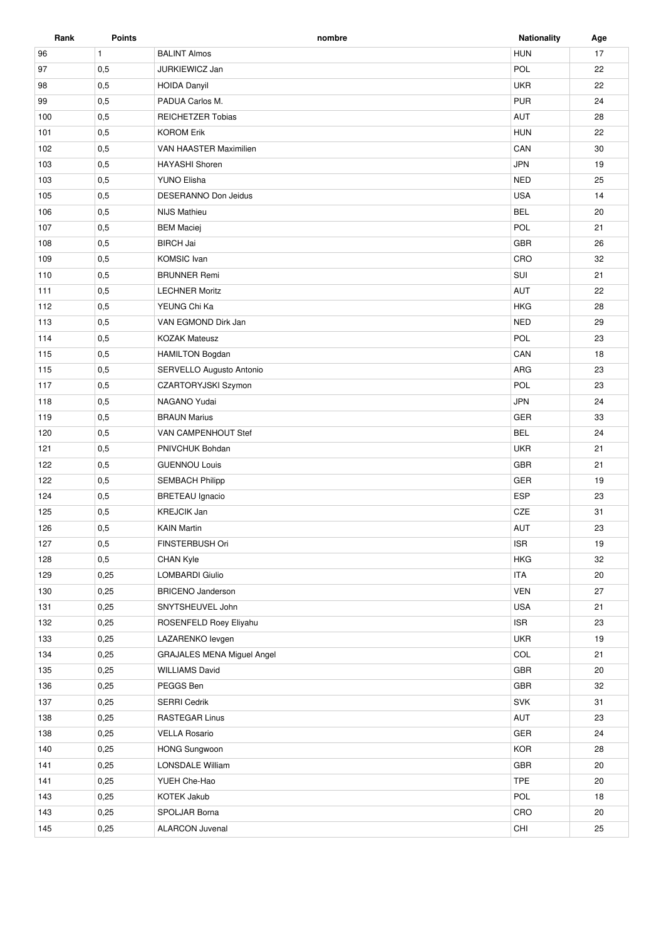| Rank | <b>Points</b> | nombre                            | <b>Nationality</b> | Age |
|------|---------------|-----------------------------------|--------------------|-----|
| 96   | $\mathbf{1}$  | <b>BALINT Almos</b>               | <b>HUN</b>         | 17  |
| 97   | 0,5           | JURKIEWICZ Jan                    | POL                | 22  |
| 98   | 0,5           | <b>HOIDA Danyil</b>               | <b>UKR</b>         | 22  |
| 99   | 0,5           | PADUA Carlos M.                   | <b>PUR</b>         | 24  |
| 100  | 0,5           | <b>REICHETZER Tobias</b>          | <b>AUT</b>         | 28  |
| 101  | 0,5           | <b>KOROM Erik</b>                 | <b>HUN</b>         | 22  |
| 102  | 0,5           | VAN HAASTER Maximilien            | CAN                | 30  |
| 103  | 0,5           | <b>HAYASHI Shoren</b>             | <b>JPN</b>         | 19  |
| 103  | 0,5           | <b>YUNO Elisha</b>                | <b>NED</b>         | 25  |
| 105  | 0,5           | DESERANNO Don Jeidus              | <b>USA</b>         | 14  |
| 106  | 0,5           | <b>NIJS Mathieu</b>               | <b>BEL</b>         | 20  |
| 107  | 0,5           | <b>BEM Maciej</b>                 | POL                | 21  |
| 108  | 0,5           | <b>BIRCH Jai</b>                  | GBR                | 26  |
| 109  | 0,5           | <b>KOMSIC</b> Ivan                | CRO                | 32  |
| 110  | 0,5           | <b>BRUNNER Remi</b>               | SUI                | 21  |
| 111  | 0,5           | <b>LECHNER Moritz</b>             | <b>AUT</b>         | 22  |
| 112  | 0,5           | YEUNG Chi Ka                      | <b>HKG</b>         | 28  |
| 113  | 0,5           | VAN EGMOND Dirk Jan               | <b>NED</b>         | 29  |
| 114  | 0,5           | <b>KOZAK Mateusz</b>              | POL                | 23  |
| 115  | 0,5           | <b>HAMILTON Bogdan</b>            | CAN                | 18  |
| 115  | 0,5           | SERVELLO Augusto Antonio          | ARG                | 23  |
| 117  | 0,5           | CZARTORYJSKI Szymon               | POL                | 23  |
| 118  | 0,5           | NAGANO Yudai                      | <b>JPN</b>         | 24  |
| 119  | 0,5           | <b>BRAUN Marius</b>               | GER                | 33  |
| 120  | 0,5           | VAN CAMPENHOUT Stef               | <b>BEL</b>         | 24  |
| 121  | 0,5           | PNIVCHUK Bohdan                   | <b>UKR</b>         | 21  |
| 122  | 0,5           | <b>GUENNOU Louis</b>              | GBR                | 21  |
| 122  | 0,5           | <b>SEMBACH Philipp</b>            | GER                | 19  |
| 124  | 0,5           | <b>BRETEAU</b> Ignacio            | <b>ESP</b>         | 23  |
| 125  | 0,5           | <b>KREJCIK Jan</b>                | <b>CZE</b>         | 31  |
| 126  | 0,5           | <b>KAIN Martin</b>                | <b>AUT</b>         | 23  |
| 127  | 0,5           | FINSTERBUSH Ori                   | <b>ISR</b>         | 19  |
| 128  | 0,5           | <b>CHAN Kyle</b>                  | <b>HKG</b>         | 32  |
| 129  | 0,25          | <b>LOMBARDI Giulio</b>            | <b>ITA</b>         | 20  |
| 130  | 0,25          | <b>BRICENO Janderson</b>          | <b>VEN</b>         | 27  |
| 131  | 0,25          | SNYTSHEUVEL John                  | <b>USA</b>         | 21  |
| 132  | 0,25          | ROSENFELD Roey Eliyahu            | <b>ISR</b>         | 23  |
| 133  | 0,25          | LAZARENKO levgen                  | UKR                | 19  |
| 134  | 0,25          | <b>GRAJALES MENA Miguel Angel</b> | COL                | 21  |
| 135  | 0,25          | <b>WILLIAMS David</b>             | GBR                | 20  |
| 136  | 0,25          | PEGGS Ben                         | GBR                | 32  |
| 137  | 0,25          | <b>SERRI Cedrik</b>               | SVK                | 31  |
| 138  | 0,25          | <b>RASTEGAR Linus</b>             | AUT                | 23  |
| 138  | 0,25          | <b>VELLA Rosario</b>              | GER                | 24  |
| 140  | 0,25          | HONG Sungwoon                     | <b>KOR</b>         | 28  |
| 141  | 0,25          | <b>LONSDALE William</b>           | GBR                | 20  |
| 141  | 0,25          | YUEH Che-Hao                      | TPE                | 20  |
| 143  | 0,25          | <b>KOTEK Jakub</b>                | POL                | 18  |
| 143  | 0,25          | SPOLJAR Borna                     | CRO                | 20  |
| 145  | 0,25          | <b>ALARCON Juvenal</b>            | CHI                | 25  |
|      |               |                                   |                    |     |